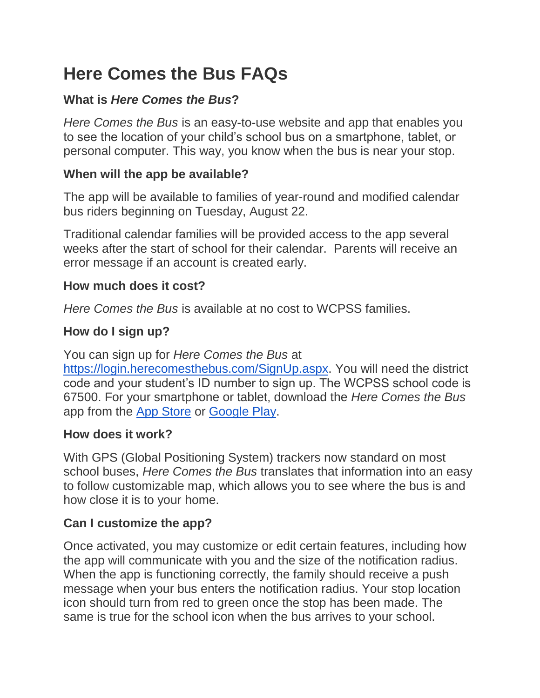# **Here Comes the Bus FAQs**

# **What is** *Here Comes the Bus***?**

*Here Comes the Bus* is an easy-to-use website and app that enables you to see the location of your child's school bus on a smartphone, tablet, or personal computer. This way, you know when the bus is near your stop.

#### **When will the app be available?**

The app will be available to families of year-round and modified calendar bus riders beginning on Tuesday, August 22.

Traditional calendar families will be provided access to the app several weeks after the start of school for their calendar. Parents will receive an error message if an account is created early.

#### **How much does it cost?**

*Here Comes the Bus* is available at no cost to WCPSS families.

### **How do I sign up?**

You can sign up for *Here Comes the Bus* a[t](https://login.herecomesthebus.com/SignUp.aspx)

[https://login.herecomesthebus.com/SignUp.aspx.](https://login.herecomesthebus.com/SignUp.aspx) You will need the district code and your student's ID number to sign up. The WCPSS school code is 67500. For your smartphone or tablet, download the *Here Comes the Bus*  app from the [App Store](https://itunes.apple.com/us/app/here-comes-the-bus/id981902595?mt=8&ign-mpt=uo%3D4) or [Google Play.](https://play.google.com/store/apps/details?id=com.synovia.herecomesthebus)

### **How does it work?**

With GPS (Global Positioning System) trackers now standard on most school buses, *Here Comes the Bus* translates that information into an easy to follow customizable map, which allows you to see where the bus is and how close it is to your home.

### **Can I customize the app?**

Once activated, you may customize or edit certain features, including how the app will communicate with you and the size of the notification radius. When the app is functioning correctly, the family should receive a push message when your bus enters the notification radius. Your stop location icon should turn from red to green once the stop has been made. The same is true for the school icon when the bus arrives to your school.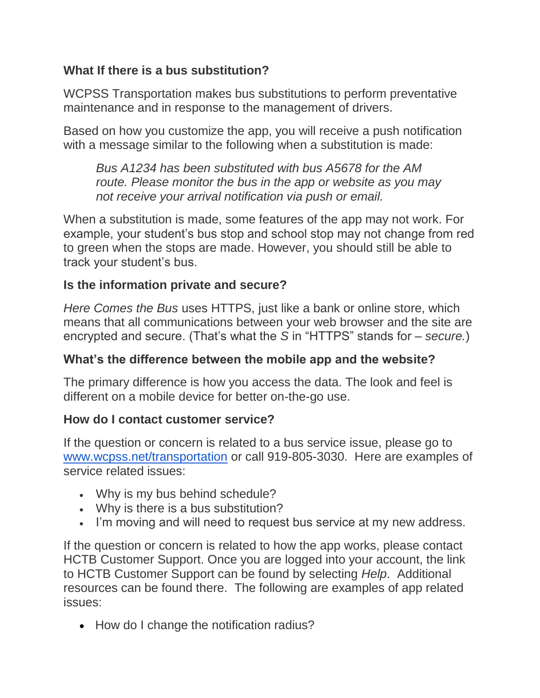## **What If there is a bus substitution?**

WCPSS Transportation makes bus substitutions to perform preventative maintenance and in response to the management of drivers.

Based on how you customize the app, you will receive a push notification with a message similar to the following when a substitution is made:

*Bus A1234 has been substituted with bus A5678 for the AM route. Please monitor the bus in the app or website as you may not receive your arrival notification via push or email.*

When a substitution is made, some features of the app may not work. For example, your student's bus stop and school stop may not change from red to green when the stops are made. However, you should still be able to track your student's bus.

## **Is the information private and secure?**

*Here Comes the Bus* uses HTTPS, just like a bank or online store, which means that all communications between your web browser and the site are encrypted and secure. (That's what the *S* in "HTTPS" stands for – *secure.*)

### **What's the difference between the mobile app and the website?**

The primary difference is how you access the data. The look and feel is different on a mobile device for better on-the-go use.

### **How do I contact customer service?**

If the question or concern is related to a bus service issue, please go t[o](http://www.wcpss.net/transportation) [www.wcpss.net/transportation](http://www.wcpss.net/transportation) or call 919-805-3030. Here are examples of service related issues:

- Why is my bus behind schedule?
- Why is there is a bus substitution?
- I'm moving and will need to request bus service at my new address.

If the question or concern is related to how the app works, please contact HCTB Customer Support. Once you are logged into your account, the link to HCTB Customer Support can be found by selecting *Help*. Additional resources can be found there. The following are examples of app related issues:

• How do I change the notification radius?